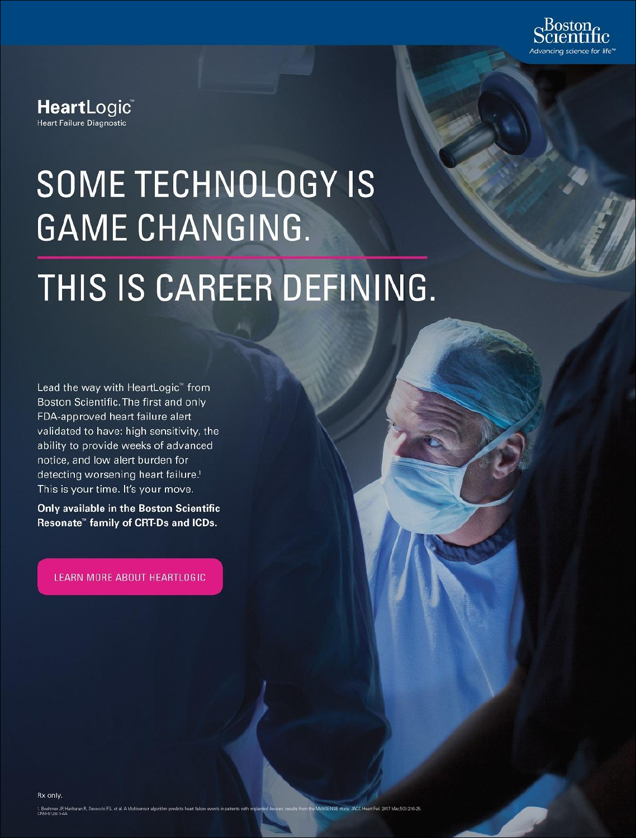

**HeartLogic** Heart Failure Diagnostic

# SOME TECHNOLOGY IS **GAME CHANGING.** THIS IS CAREER DEFINING.

Lead the way with HeartLogic" from Boston Scientific. The first and only FDA-approved heart failure alert validated to have: high sensitivity, the ability to provide weeks of advanced notice, and low alert burden for detecting worsening heart failure.<sup>1</sup> This is your time. It's your move.

Only available in the Boston Scientific Resonate" family of CRT-Ds and ICDs.

**LEARN MORE ABOUT HEARTLOGIC**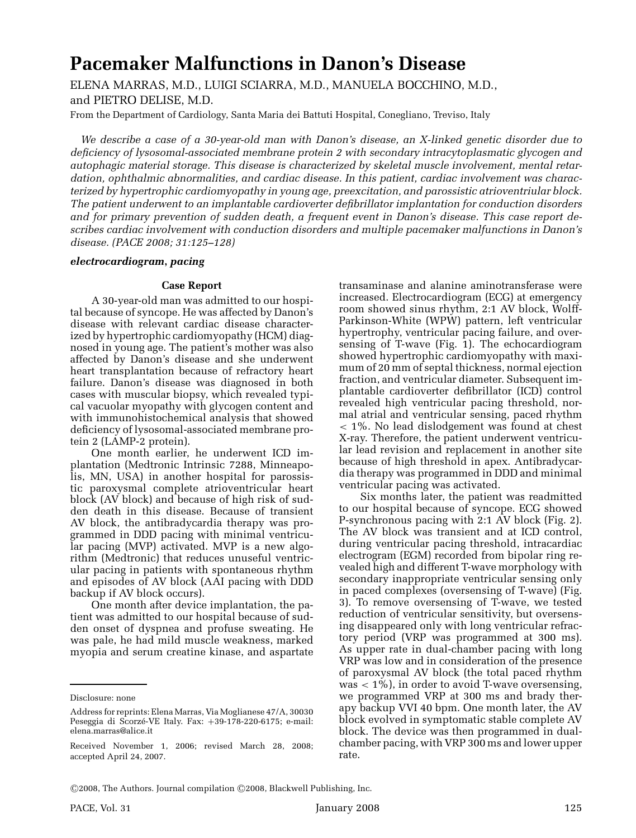# **Pacemaker Malfunctions in Danon's Disease**

ELENA MARRAS, M.D., LUIGI SCIARRA, M.D., MANUELA BOCCHINO, M.D., and PIETRO DELISE, M.D.

From the Department of Cardiology, Santa Maria dei Battuti Hospital, Conegliano, Treviso, Italy

*We describe a case of a 30-year-old man with Danon's disease, an X-linked genetic disorder due to deficiency of lysosomal-associated membrane protein 2 with secondary intracytoplasmatic glycogen and autophagic material storage. This disease is characterized by skeletal muscle involvement, mental retardation, ophthalmic abnormalities, and cardiac disease. In this patient, cardiac involvement was characterized by hypertrophic cardiomyopathy in young age, preexcitation, and parossistic atrioventriular block. The patient underwent to an implantable cardioverter defibrillator implantation for conduction disorders and for primary prevention of sudden death, a frequent event in Danon's disease. This case report describes cardiac involvement with conduction disorders and multiple pacemaker malfunctions in Danon's disease. (PACE 2008; 31:125–128)*

## *electrocardiogram***,** *pacing*

#### **Case Report**

A 30-year-old man was admitted to our hospital because of syncope. He was affected by Danon's disease with relevant cardiac disease characterized by hypertrophic cardiomyopathy (HCM) diagnosed in young age. The patient's mother was also affected by Danon's disease and she underwent heart transplantation because of refractory heart failure. Danon's disease was diagnosed in both cases with muscular biopsy, which revealed typical vacuolar myopathy with glycogen content and with immunohistochemical analysis that showed deficiency of lysosomal-associated membrane protein 2 (LAMP-2 protein).

One month earlier, he underwent ICD implantation (Medtronic Intrinsic 7288, Minneapolis, MN, USA) in another hospital for parossistic paroxysmal complete atrioventricular heart block (AV block) and because of high risk of sudden death in this disease. Because of transient AV block, the antibradycardia therapy was programmed in DDD pacing with minimal ventricular pacing (MVP) activated. MVP is a new algorithm (Medtronic) that reduces unuseful ventricular pacing in patients with spontaneous rhythm and episodes of AV block (AAI pacing with DDD backup if AV block occurs).

One month after device implantation, the patient was admitted to our hospital because of sudden onset of dyspnea and profuse sweating. He was pale, he had mild muscle weakness, marked myopia and serum creatine kinase, and aspartate transaminase and alanine aminotransferase were increased. Electrocardiogram (ECG) at emergency room showed sinus rhythm, 2:1 AV block, Wolff-Parkinson-White (WPW) pattern, left ventricular hypertrophy, ventricular pacing failure, and oversensing of T-wave (Fig. 1). The echocardiogram showed hypertrophic cardiomyopathy with maximum of 20 mm of septal thickness, normal ejection fraction, and ventricular diameter. Subsequent implantable cardioverter defibrillator (ICD) control revealed high ventricular pacing threshold, normal atrial and ventricular sensing, paced rhythm < 1%. No lead dislodgement was found at chest X-ray. Therefore, the patient underwent ventricular lead revision and replacement in another site because of high threshold in apex. Antibradycardia therapy was programmed in DDD and minimal ventricular pacing was activated.

Six months later, the patient was readmitted to our hospital because of syncope. ECG showed P-synchronous pacing with 2:1 AV block (Fig. 2). The AV block was transient and at ICD control, during ventricular pacing threshold, intracardiac electrogram (EGM) recorded from bipolar ring revealed high and different T-wave morphology with secondary inappropriate ventricular sensing only in paced complexes (oversensing of T-wave) (Fig. 3). To remove oversensing of T-wave, we tested reduction of ventricular sensitivity, but oversensing disappeared only with long ventricular refractory period (VRP was programmed at 300 ms). As upper rate in dual-chamber pacing with long VRP was low and in consideration of the presence of paroxysmal AV block (the total paced rhythm  $was < 1\%$ ), in order to avoid T-wave oversensing, we programmed VRP at 300 ms and brady therapy backup VVI 40 bpm. One month later, the AV block evolved in symptomatic stable complete AV block. The device was then programmed in dualchamber pacing, with VRP 300 ms and lower upper rate.

<sup>C</sup> 2008, The Authors. Journal compilation <sup>C</sup> 2008, Blackwell Publishing, Inc.

Disclosure: none

Address for reprints: Elena Marras, Via Moglianese 47/A, 30030 Peseggia di Scorzé-VE Italy. Fax: +39-178-220-6175; e-mail: elena.marras@alice.it

Received November 1, 2006; revised March 28, 2008; accepted April 24, 2007.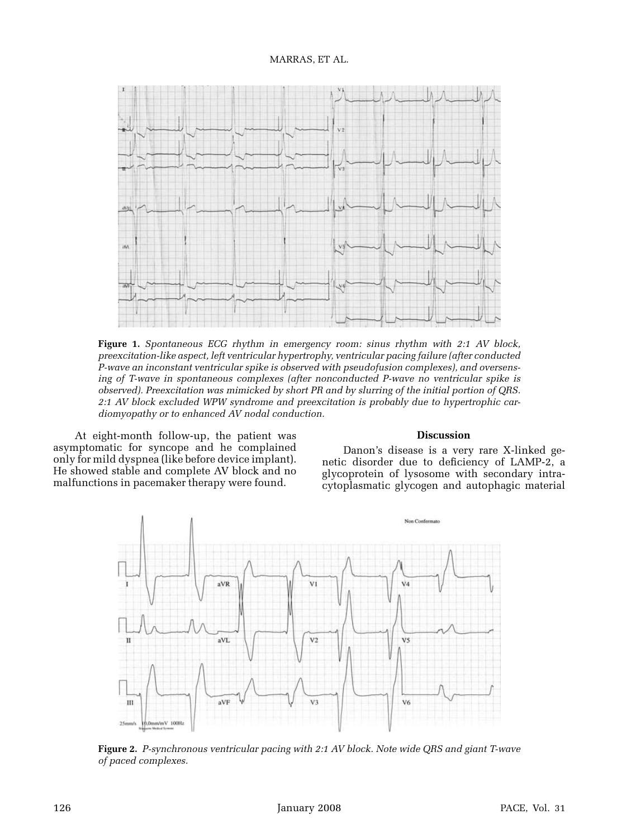

**Figure 1.** *Spontaneous ECG rhythm in emergency room: sinus rhythm with 2:1 AV block, preexcitation-like aspect, left ventricular hypertrophy, ventricular pacing failure (after conducted P-wave an inconstant ventricular spike is observed with pseudofusion complexes), and oversensing of T-wave in spontaneous complexes (after nonconducted P-wave no ventricular spike is observed). Preexcitation was mimicked by short PR and by slurring of the initial portion of QRS. 2:1 AV block excluded WPW syndrome and preexcitation is probably due to hypertrophic cardiomyopathy or to enhanced AV nodal conduction.*

At eight-month follow-up, the patient was asymptomatic for syncope and he complained only for mild dyspnea (like before device implant). He showed stable and complete AV block and no malfunctions in pacemaker therapy were found.

## **Discussion**

Danon's disease is a very rare X-linked genetic disorder due to deficiency of LAMP-2, a glycoprotein of lysosome with secondary intracytoplasmatic glycogen and autophagic material



**Figure 2.** *P-synchronous ventricular pacing with 2:1 AV block. Note wide QRS and giant T-wave of paced complexes.*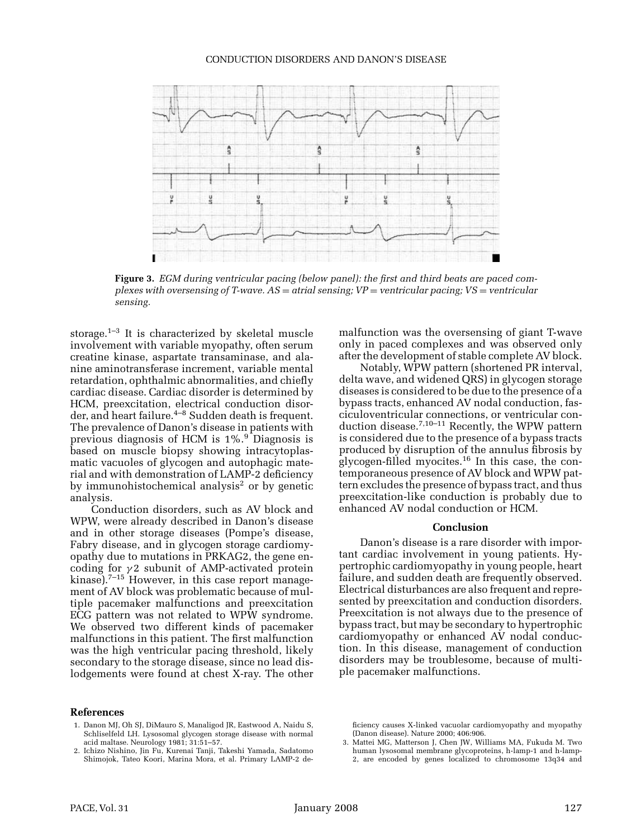

**Figure 3.** *EGM during ventricular pacing (below panel): the first and third beats are paced complexes with oversensing of T-wave. AS* = *atrial sensing; VP* = *ventricular pacing; VS* = *ventricular sensing.*

storage. $1-3$  It is characterized by skeletal muscle involvement with variable myopathy, often serum creatine kinase, aspartate transaminase, and alanine aminotransferase increment, variable mental retardation, ophthalmic abnormalities, and chiefly cardiac disease. Cardiac disorder is determined by HCM, preexcitation, electrical conduction disorder, and heart failure. $4-8$  Sudden death is frequent. The prevalence of Danon's disease in patients with previous diagnosis of HCM is 1%.<sup>9</sup> Diagnosis is based on muscle biopsy showing intracytoplasmatic vacuoles of glycogen and autophagic material and with demonstration of LAMP-2 deficiency by immunohistochemical analysis<sup>2</sup> or by genetic analysis.

Conduction disorders, such as AV block and WPW, were already described in Danon's disease and in other storage diseases (Pompe's disease, Fabry disease, and in glycogen storage cardiomyopathy due to mutations in PRKAG2, the gene encoding for  $\gamma$ 2 subunit of AMP-activated protein kinase). $7-15$  However, in this case report management of AV block was problematic because of multiple pacemaker malfunctions and preexcitation ECG pattern was not related to WPW syndrome. We observed two different kinds of pacemaker malfunctions in this patient. The first malfunction was the high ventricular pacing threshold, likely secondary to the storage disease, since no lead dislodgements were found at chest X-ray. The other

#### **References**

- 1. Danon MJ, Oh SJ, DiMauro S, Manaligod JR, Eastwood A, Naidu S, Schliselfeld LH. Lysosomal glycogen storage disease with normal acid maltase. Neurology 1981; 31:51–57.
- 2. Ichizo Nishino, Jin Fu, Kurenai Tanji, Takeshi Yamada, Sadatomo Shimojok, Tateo Koori, Marina Mora, et al. Primary LAMP-2 de-

malfunction was the oversensing of giant T-wave only in paced complexes and was observed only after the development of stable complete AV block.

Notably, WPW pattern (shortened PR interval, delta wave, and widened QRS) in glycogen storage diseases is considered to be due to the presence of a bypass tracts, enhanced AV nodal conduction, fasciculoventricular connections, or ventricular conduction disease.<sup>7,10–11</sup> Recently, the WPW pattern is considered due to the presence of a bypass tracts produced by disruption of the annulus fibrosis by glycogen-filled myocites.<sup>16</sup> In this case, the contemporaneous presence of AV block and WPW pattern excludes the presence of bypass tract, and thus preexcitation-like conduction is probably due to enhanced AV nodal conduction or HCM.

# **Conclusion**

Danon's disease is a rare disorder with important cardiac involvement in young patients. Hypertrophic cardiomyopathy in young people, heart failure, and sudden death are frequently observed. Electrical disturbances are also frequent and represented by preexcitation and conduction disorders. Preexcitation is not always due to the presence of bypass tract, but may be secondary to hypertrophic cardiomyopathy or enhanced AV nodal conduction. In this disease, management of conduction disorders may be troublesome, because of multiple pacemaker malfunctions.

ficiency causes X-linked vacuolar cardiomyopathy and myopathy (Danon disease). Nature 2000; 406:906.

<sup>3.</sup> Mattei MG, Matterson J, Chen JW, Williams MA, Fukuda M. Two human lysosomal membrane glycoproteins, h-lamp-1 and h-lamp-2, are encoded by genes localized to chromosome 13q34 and